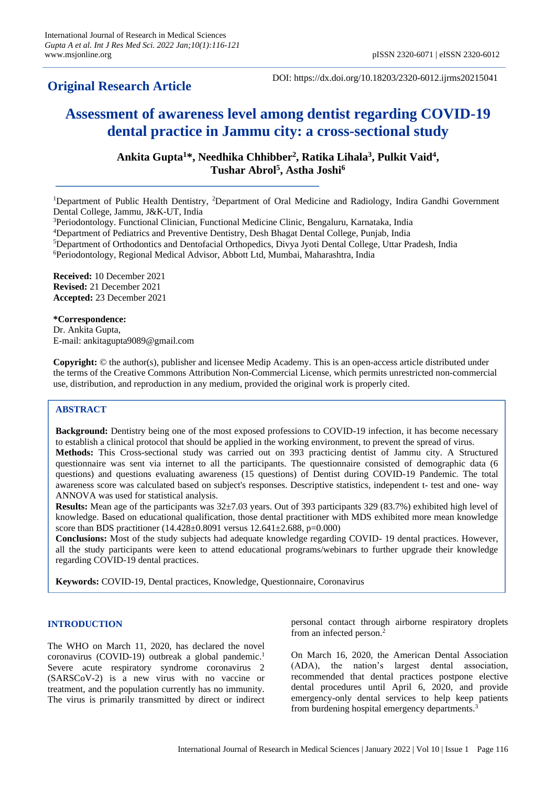# **Original Research Article**

DOI: https://dx.doi.org/10.18203/2320-6012.ijrms20215041

# **Assessment of awareness level among dentist regarding COVID-19 dental practice in Jammu city: a cross-sectional study**

**Ankita Gupta<sup>1</sup>\*, Needhika Chhibber<sup>2</sup> , Ratika Lihala<sup>3</sup> , Pulkit Vaid<sup>4</sup> , Tushar Abrol<sup>5</sup> , Astha Joshi<sup>6</sup>**

<sup>1</sup>Department of Public Health Dentistry, <sup>2</sup>Department of Oral Medicine and Radiology, Indira Gandhi Government Dental College, Jammu, J&K-UT, India

<sup>3</sup>Periodontology. Functional Clinician, Functional Medicine Clinic, Bengaluru, Karnataka, India

<sup>4</sup>Department of Pediatrics and Preventive Dentistry, Desh Bhagat Dental College, Punjab, India

<sup>5</sup>Department of Orthodontics and Dentofacial Orthopedics, Divya Jyoti Dental College, Uttar Pradesh, India

<sup>6</sup>Periodontology, Regional Medical Advisor, Abbott Ltd, Mumbai, Maharashtra, India

**Received:** 10 December 2021 **Revised:** 21 December 2021 **Accepted:** 23 December 2021

**\*Correspondence:** Dr. Ankita Gupta, E-mail: ankitagupta9089@gmail.com

**Copyright:** © the author(s), publisher and licensee Medip Academy. This is an open-access article distributed under the terms of the Creative Commons Attribution Non-Commercial License, which permits unrestricted non-commercial use, distribution, and reproduction in any medium, provided the original work is properly cited.

# **ABSTRACT**

**Background:** Dentistry being one of the most exposed professions to COVID-19 infection, it has become necessary to establish a clinical protocol that should be applied in the working environment, to prevent the spread of virus. **Methods:** This Cross-sectional study was carried out on 393 practicing dentist of Jammu city. A Structured questionnaire was sent via internet to all the participants. The questionnaire consisted of demographic data (6 questions) and questions evaluating awareness (15 questions) of Dentist during COVID-19 Pandemic. The total awareness score was calculated based on subject's responses. Descriptive statistics, independent t- test and one- way ANNOVA was used for statistical analysis.

**Results:** Mean age of the participants was 32±7.03 years. Out of 393 participants 329 (83.7%) exhibited high level of knowledge. Based on educational qualification, those dental practitioner with MDS exhibited more mean knowledge score than BDS practitioner (14.428±0.8091 versus 12.641±2.688, p=0.000)

**Conclusions:** Most of the study subjects had adequate knowledge regarding COVID- 19 dental practices. However, all the study participants were keen to attend educational programs/webinars to further upgrade their knowledge regarding COVID-19 dental practices.

**Keywords:** COVID-19, Dental practices, Knowledge, Questionnaire, Coronavirus

# **INTRODUCTION**

The WHO on March 11, 2020, has declared the novel coronavirus (COVID-19) outbreak a global pandemic.<sup>1</sup> Severe acute respiratory syndrome coronavirus 2 (SARSCoV-2) is a new virus with no vaccine or treatment, and the population currently has no immunity. The virus is primarily transmitted by direct or indirect personal contact through airborne respiratory droplets from an infected person.<sup>2</sup>

On March 16, 2020, the American Dental Association (ADA), the nation's largest dental association, recommended that dental practices postpone elective dental procedures until April 6, 2020, and provide emergency-only dental services to help keep patients from burdening hospital emergency departments.<sup>3</sup>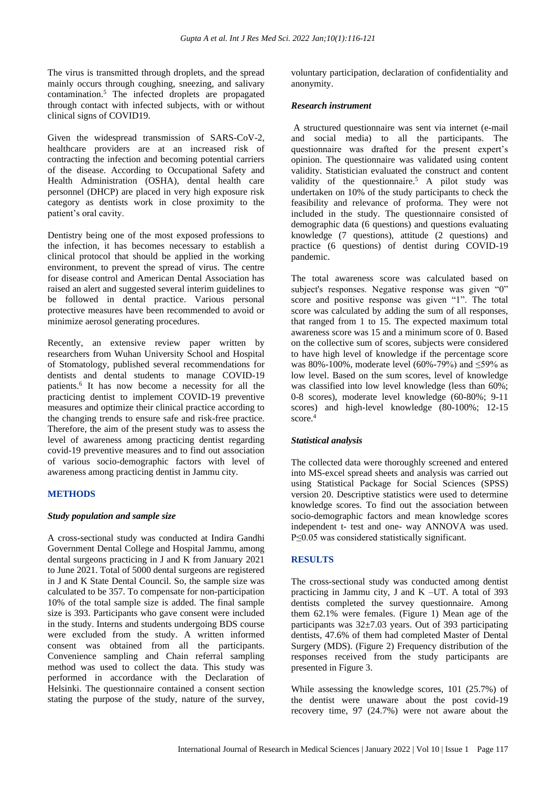The virus is transmitted through droplets, and the spread mainly occurs through coughing, sneezing, and salivary contamination.<sup>5</sup> The infected droplets are propagated through contact with infected subjects, with or without clinical signs of COVID19.

Given the widespread transmission of SARS-CoV-2, healthcare providers are at an increased risk of contracting the infection and becoming potential carriers of the disease. According to Occupational Safety and Health Administration (OSHA), dental health care personnel (DHCP) are placed in very high exposure risk category as dentists work in close proximity to the patient's oral cavity.

Dentistry being one of the most exposed professions to the infection, it has becomes necessary to establish a clinical protocol that should be applied in the working environment, to prevent the spread of virus. The centre for disease control and American Dental Association has raised an alert and suggested several interim guidelines to be followed in dental practice. Various personal protective measures have been recommended to avoid or minimize aerosol generating procedures.

Recently, an extensive review paper written by researchers from Wuhan University School and Hospital of Stomatology, published several recommendations for dentists and dental students to manage COVID-19 patients.<sup>6</sup> It has now become a necessity for all the practicing dentist to implement COVID-19 preventive measures and optimize their clinical practice according to the changing trends to ensure safe and risk-free practice. Therefore, the aim of the present study was to assess the level of awareness among practicing dentist regarding covid-19 preventive measures and to find out association of various socio-demographic factors with level of awareness among practicing dentist in Jammu city.

#### **METHODS**

#### *Study population and sample size*

A cross-sectional study was conducted at Indira Gandhi Government Dental College and Hospital Jammu, among dental surgeons practicing in J and K from January 2021 to June 2021. Total of 5000 dental surgeons are registered in J and K State Dental Council. So, the sample size was calculated to be 357. To compensate for non-participation 10% of the total sample size is added. The final sample size is 393. Participants who gave consent were included in the study. Interns and students undergoing BDS course were excluded from the study. A written informed consent was obtained from all the participants. Convenience sampling and Chain referral sampling method was used to collect the data. This study was performed in accordance with the Declaration of Helsinki. The questionnaire contained a consent section stating the purpose of the study, nature of the survey, voluntary participation, declaration of confidentiality and anonymity.

#### *Research instrument*

A structured questionnaire was sent via internet (e-mail and social media) to all the participants. The questionnaire was drafted for the present expert's opinion. The questionnaire was validated using content validity. Statistician evaluated the construct and content validity of the questionnaire.<sup>5</sup> A pilot study was undertaken on 10% of the study participants to check the feasibility and relevance of proforma. They were not included in the study. The questionnaire consisted of demographic data (6 questions) and questions evaluating knowledge (7 questions), attitude (2 questions) and practice (6 questions) of dentist during COVID-19 pandemic.

The total awareness score was calculated based on subject's responses. Negative response was given "0" score and positive response was given "1". The total score was calculated by adding the sum of all responses, that ranged from 1 to 15. The expected maximum total awareness score was 15 and a minimum score of 0. Based on the collective sum of scores, subjects were considered to have high level of knowledge if the percentage score was 80%-100%, moderate level (60%-79%) and ≤59% as low level. Based on the sum scores, level of knowledge was classified into low level knowledge (less than 60%; 0-8 scores), moderate level knowledge (60-80%; 9-11 scores) and high-level knowledge (80-100%; 12-15 score  $4$ 

#### *Statistical analysis*

The collected data were thoroughly screened and entered into MS-excel spread sheets and analysis was carried out using Statistical Package for Social Sciences (SPSS) version 20. Descriptive statistics were used to determine knowledge scores. To find out the association between socio-demographic factors and mean knowledge scores independent t- test and one- way ANNOVA was used. P≤0.05 was considered statistically significant.

#### **RESULTS**

The cross-sectional study was conducted among dentist practicing in Jammu city, J and K –UT. A total of  $393$ dentists completed the survey questionnaire. Among them 62.1% were females. (Figure 1) Mean age of the participants was 32±7.03 years. Out of 393 participating dentists, 47.6% of them had completed Master of Dental Surgery (MDS). (Figure 2) Frequency distribution of the responses received from the study participants are presented in Figure 3.

While assessing the knowledge scores, 101 (25.7%) of the dentist were unaware about the post covid-19 recovery time, 97 (24.7%) were not aware about the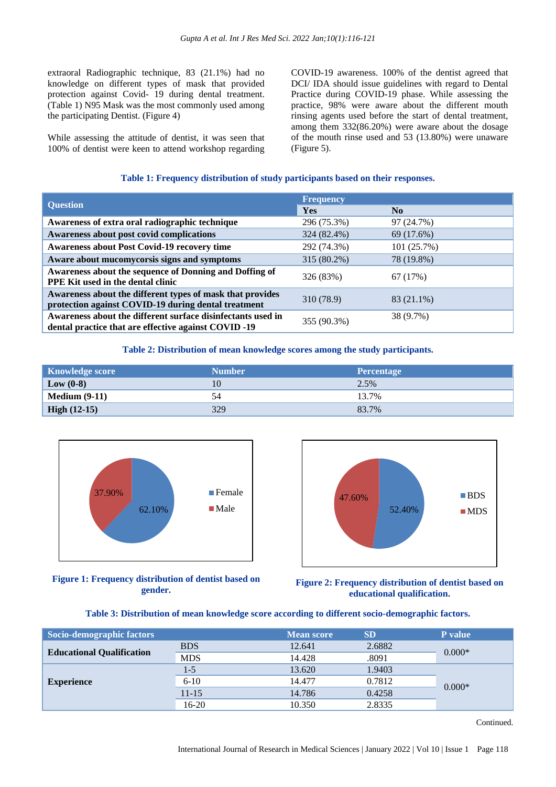extraoral Radiographic technique, 83 (21.1%) had no knowledge on different types of mask that provided protection against Covid- 19 during dental treatment. (Table 1) N95 Mask was the most commonly used among the participating Dentist. (Figure 4)

While assessing the attitude of dentist, it was seen that 100% of dentist were keen to attend workshop regarding COVID-19 awareness. 100% of the dentist agreed that DCI/ IDA should issue guidelines with regard to Dental Practice during COVID-19 phase. While assessing the practice, 98% were aware about the different mouth rinsing agents used before the start of dental treatment, among them 332(86.20%) were aware about the dosage of the mouth rinse used and 53 (13.80%) were unaware (Figure 5).

### **Table 1: Frequency distribution of study participants based on their responses.**

|                                                                                                                     | <b>Frequency</b> |                |  |
|---------------------------------------------------------------------------------------------------------------------|------------------|----------------|--|
| <b>Question</b>                                                                                                     | <b>Yes</b>       | N <sub>0</sub> |  |
| Awareness of extra oral radiographic technique                                                                      | 296 (75.3%)      | 97 (24.7%)     |  |
| Awareness about post covid complications                                                                            | 324 (82.4%)      | 69 (17.6%)     |  |
| <b>Awareness about Post Covid-19 recovery time</b>                                                                  | 292 (74.3%)      | 101(25.7%)     |  |
| Aware about mucomycorsis signs and symptoms                                                                         | 315 (80.2%)      | 78 (19.8%)     |  |
| Awareness about the sequence of Donning and Doffing of<br><b>PPE Kit used in the dental clinic</b>                  | 326 (83%)        | 67 (17%)       |  |
| Awareness about the different types of mask that provides<br>protection against COVID-19 during dental treatment    | 310 (78.9)       | 83 (21.1%)     |  |
| Awareness about the different surface disinfectants used in<br>dental practice that are effective against COVID -19 | 355 (90.3%)      | 38 (9.7%)      |  |

#### **Table 2: Distribution of mean knowledge scores among the study participants.**

| <b>Knowledge score</b> | <b>Number</b> | <b>Percentage</b> |
|------------------------|---------------|-------------------|
| $\mathbf{Low} (0-8)$   | 10            | 2.5%              |
| Medium $(9-11)$        | 54            | 13.7%             |
| <b>High (12-15)</b>    | 329           | 83.7%             |



**Figure 1: Frequency distribution of dentist based on gender.**



**Figure 2: Frequency distribution of dentist based on educational qualification.**

### **Table 3: Distribution of mean knowledge score according to different socio-demographic factors.**

| Socio-demographic factors        |            | <b>Mean score</b> | <b>SD</b> | P value  |
|----------------------------------|------------|-------------------|-----------|----------|
| <b>Educational Qualification</b> | <b>BDS</b> | 12.641            | 2.6882    | $0.000*$ |
|                                  | <b>MDS</b> | 14.428            | .8091     |          |
| <b>Experience</b>                | $1-5$      | 13.620            | 1.9403    | $0.000*$ |
|                                  | $6-10$     | 14.477            | 0.7812    |          |
|                                  | $11 - 15$  | 14.786            | 0.4258    |          |
|                                  | $16 - 20$  | 10.350            | 2.8335    |          |

Continued.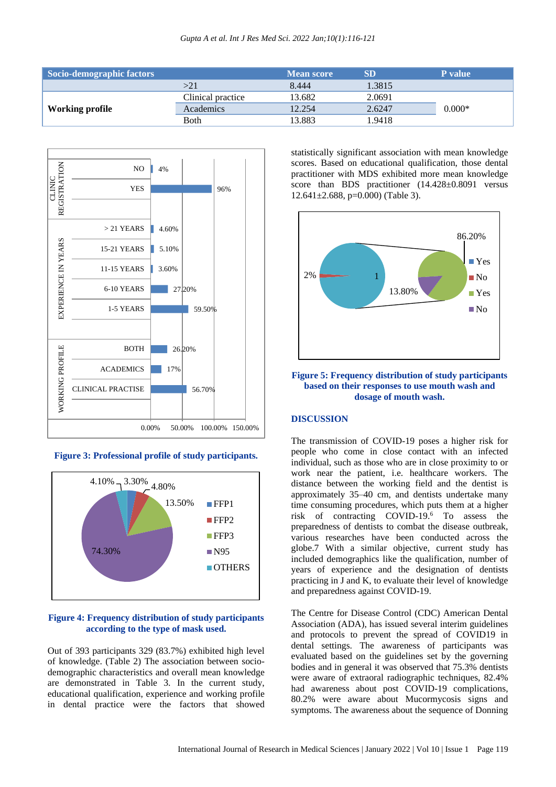| Socio-demographic factors |                   | <b>Mean score</b> | <b>SD</b> | <b>P</b> value |
|---------------------------|-------------------|-------------------|-----------|----------------|
|                           | >21               | 8.444             | 1.3815    |                |
| Working profile           | Clinical practice | 13.682            | 2.0691    |                |
|                           | Academics         | 12.254            | 2.6247    | $0.000*$       |
|                           | <b>B</b> oth      | 13.883            | 1.9418    |                |



**Figure 3: Professional profile of study participants.**



#### **Figure 4: Frequency distribution of study participants according to the type of mask used.**

Out of 393 participants 329 (83.7%) exhibited high level of knowledge. (Table 2) The association between sociodemographic characteristics and overall mean knowledge are demonstrated in Table 3. In the current study, educational qualification, experience and working profile in dental practice were the factors that showed

statistically significant association with mean knowledge scores. Based on educational qualification, those dental practitioner with MDS exhibited more mean knowledge score than BDS practitioner (14.428±0.8091 versus  $12.641 \pm 2.688$ , p=0.000) (Table 3).



**Figure 5: Frequency distribution of study participants based on their responses to use mouth wash and dosage of mouth wash.**

# **DISCUSSION**

The transmission of COVID-19 poses a higher risk for people who come in close contact with an infected individual, such as those who are in close proximity to or work near the patient, i.e. healthcare workers. The distance between the working field and the dentist is approximately 35–40 cm, and dentists undertake many time consuming procedures, which puts them at a higher risk of contracting COVID-19.<sup>6</sup> To assess the preparedness of dentists to combat the disease outbreak, various researches have been conducted across the globe.7 With a similar objective, current study has included demographics like the qualification, number of years of experience and the designation of dentists practicing in J and K, to evaluate their level of knowledge and preparedness against COVID-19.

The Centre for Disease Control (CDC) American Dental Association (ADA), has issued several interim guidelines and protocols to prevent the spread of COVID19 in dental settings. The awareness of participants was evaluated based on the guidelines set by the governing bodies and in general it was observed that 75.3% dentists were aware of extraoral radiographic techniques, 82.4% had awareness about post COVID-19 complications, 80.2% were aware about Mucormycosis signs and symptoms. The awareness about the sequence of Donning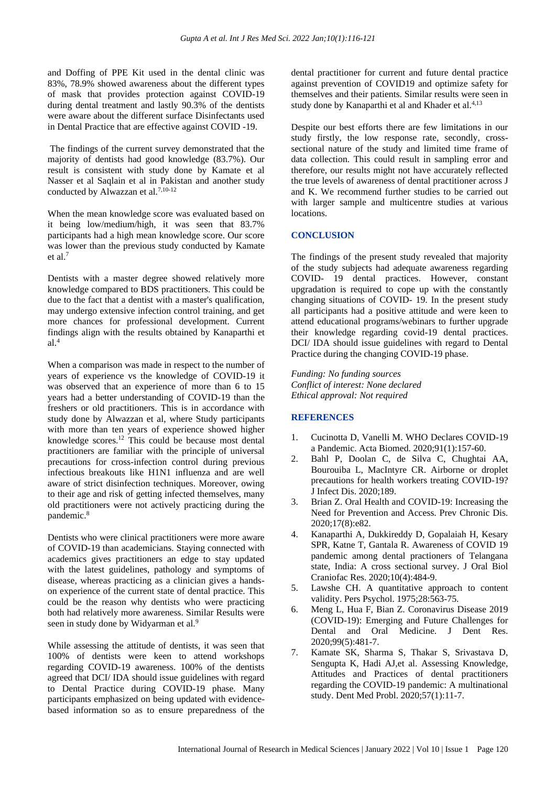and Doffing of PPE Kit used in the dental clinic was 83%, 78.9% showed awareness about the different types of mask that provides protection against COVID-19 during dental treatment and lastly 90.3% of the dentists were aware about the different surface Disinfectants used in Dental Practice that are effective against COVID -19.

The findings of the current survey demonstrated that the majority of dentists had good knowledge (83.7%). Our result is consistent with study done by Kamate et al Nasser et al Saqlain et al in Pakistan and another study conducted by Alwazzan et al.<sup>7,10-12</sup>

When the mean knowledge score was evaluated based on it being low/medium/high, it was seen that 83.7% participants had a high mean knowledge score. Our score was lower than the previous study conducted by Kamate et al.<sup>7</sup>

Dentists with a master degree showed relatively more knowledge compared to BDS practitioners. This could be due to the fact that a dentist with a master's qualification, may undergo extensive infection control training, and get more chances for professional development. Current findings align with the results obtained by Kanaparthi et  $al.<sup>4</sup>$ 

When a comparison was made in respect to the number of years of experience vs the knowledge of COVID-19 it was observed that an experience of more than 6 to 15 years had a better understanding of COVID-19 than the freshers or old practitioners. This is in accordance with study done by Alwazzan et al, where Study participants with more than ten years of experience showed higher knowledge scores.<sup>12</sup> This could be because most dental practitioners are familiar with the principle of universal precautions for cross-infection control during previous infectious breakouts like H1N1 influenza and are well aware of strict disinfection techniques. Moreover, owing to their age and risk of getting infected themselves, many old practitioners were not actively practicing during the pandemic.<sup>8</sup>

Dentists who were clinical practitioners were more aware of COVID-19 than academicians. Staying connected with academics gives practitioners an edge to stay updated with the latest guidelines, pathology and symptoms of disease, whereas practicing as a clinician gives a handson experience of the current state of dental practice. This could be the reason why dentists who were practicing both had relatively more awareness. Similar Results were seen in study done by Widyarman et al.<sup>9</sup>

While assessing the attitude of dentists, it was seen that 100% of dentists were keen to attend workshops regarding COVID-19 awareness. 100% of the dentists agreed that DCI/ IDA should issue guidelines with regard to Dental Practice during COVID-19 phase. Many participants emphasized on being updated with evidencebased information so as to ensure preparedness of the dental practitioner for current and future dental practice against prevention of COVID19 and optimize safety for themselves and their patients. Similar results were seen in study done by Kanaparthi et al and Khader et al.<sup>4,13</sup>

Despite our best efforts there are few limitations in our study firstly, the low response rate, secondly, crosssectional nature of the study and limited time frame of data collection. This could result in sampling error and therefore, our results might not have accurately reflected the true levels of awareness of dental practitioner across J and K. We recommend further studies to be carried out with larger sample and multicentre studies at various locations.

#### **CONCLUSION**

The findings of the present study revealed that majority of the study subjects had adequate awareness regarding COVID- 19 dental practices. However, constant upgradation is required to cope up with the constantly changing situations of COVID- 19. In the present study all participants had a positive attitude and were keen to attend educational programs/webinars to further upgrade their knowledge regarding covid-19 dental practices. DCI/ IDA should issue guidelines with regard to Dental Practice during the changing COVID-19 phase.

*Funding: No funding sources Conflict of interest: None declared Ethical approval: Not required*

## **REFERENCES**

- 1. Cucinotta D, Vanelli M. WHO Declares COVID-19 a Pandemic. Acta Biomed. 2020;91(1):157-60.
- 2. Bahl P, Doolan C, de Silva C, Chughtai AA, Bourouiba L, MacIntyre CR. Airborne or droplet precautions for health workers treating COVID-19? J Infect Dis. 2020;189.
- 3. Brian Z. Oral Health and COVID-19: Increasing the Need for Prevention and Access. Prev Chronic Dis. 2020;17(8):e82.
- 4. Kanaparthi A, Dukkireddy D, Gopalaiah H, Kesary SPR, Katne T, Gantala R. Awareness of COVID 19 pandemic among dental practioners of Telangana state, India: A cross sectional survey. J Oral Biol Craniofac Res. 2020;10(4):484-9.
- 5. Lawshe CH. A quantitative approach to content validity. Pers Psychol. 1975;28:563-75.
- 6. Meng L, Hua F, Bian Z. Coronavirus Disease 2019 (COVID-19): Emerging and Future Challenges for Dental and Oral Medicine. J Dent Res. 2020;99(5):481-7.
- 7. Kamate SK, Sharma S, Thakar S, Srivastava D, Sengupta K, Hadi AJ,et al. Assessing Knowledge, Attitudes and Practices of dental practitioners regarding the COVID-19 pandemic: A multinational study. Dent Med Probl. 2020;57(1):11-7.